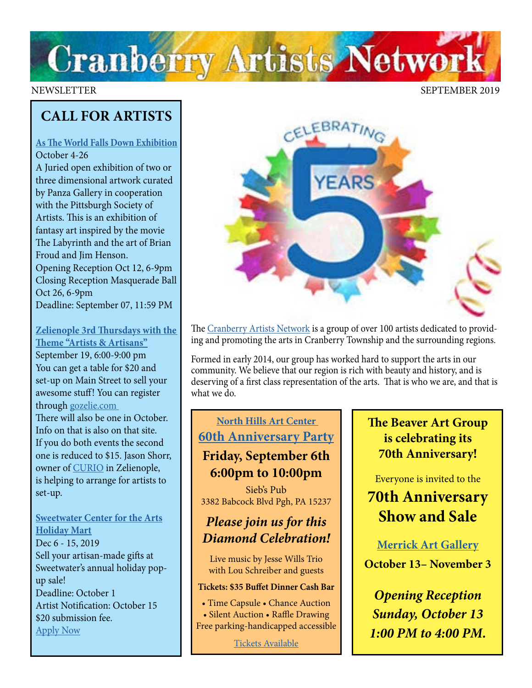# **Cranberry Artists Network**

NEWSLETTER SEPTEMBER 2019

## **CALL FOR ARTISTS**

#### **[As The World Falls Down Exhibition](https://www.pittsburghsocietyofartists.org/event-3471124)** October 4-26

A Juried open exhibition of two or three dimensional artwork curated by Panza Gallery in cooperation with the Pittsburgh Society of Artists. This is an exhibition of fantasy art inspired by the movie The Labyrinth and the art of Brian Froud and Jim Henson. Opening Reception Oct 12, 6-9pm Closing Reception Masquerade Ball Oct 26, 6-9pm Deadline: September 07, 11:59 PM

### **[Zelienople 3rd Thursdays with the](https://www.gozelie.com/3rd-thursday)**

**[Theme "Artists & Artisans"](https://www.gozelie.com/3rd-thursday)** September 19, 6:00-9:00 pm You can get a table for \$20 and set-up on Main Street to sell your awesome stuff! You can register through [gozelie.com](https://www.gozelie.com/3rd-thursday)  There will also be one in October. Info on that is also on that site. If you do both events the second one is reduced to \$15. Jason Shorr, owner of [CURIO](https://www.facebook.com/curiocool/) in Zelienople, is helping to arrange for artists to set-up.

## **[Sweetwater Center for the Arts](https://sweetwaterartcenter.org/call-for-artists/) [Holiday Mart](https://sweetwaterartcenter.org/call-for-artists/)**

Dec 6 - 15, 2019 Sell your artisan-made gifts at Sweetwater's annual holiday popup sale! Deadline: October 1 Artist Notification: October 15 \$20 submission fee. [Apply Now](https://sweetwaterartcenter.org/call-for-artists/)



The [Cranberry Artists Network](https://www.cranberryartistsnetwork.com/) is a group of over 100 artists dedicated to providing and promoting the arts in Cranberry Township and the surrounding regions.

Formed in early 2014, our group has worked hard to support the arts in our community. We believe that our region is rich with beauty and history, and is deserving of a first class representation of the arts. That is who we are, and that is what we do.

## **[North Hills Art Center](https://northhillsartcenter.org/event-3438133)  [60th Anniversary Party](https://northhillsartcenter.org/event-3438133)**

## **Friday, September 6th 6:00pm to 10:00pm**

Sieb's Pub 3382 Babcock Blvd Pgh, PA 15237

## *Please join us for this Diamond Celebration!*

Live music by Jesse Wills Trio with Lou Schreiber and guests

#### **Tickets: \$35 Buffet Dinner Cash Bar**

• Time Capsule • Chance Auction • Silent Auction • Raffle Drawing Free parking-handicapped accessible

[Tickets Available](https://northhillsartcenter.org/event-3438133)

## **The Beaver Art Group is celebrating its 70th Anniversary!**

Everyone is invited to the

## **70th Anniversary Show and Sale**

## **[Merrick Art Gallery](http://merrickartgallery.org/)**

**October 13– November 3**

*Opening Reception Sunday, October 13 1:00 PM to 4:00 PM.*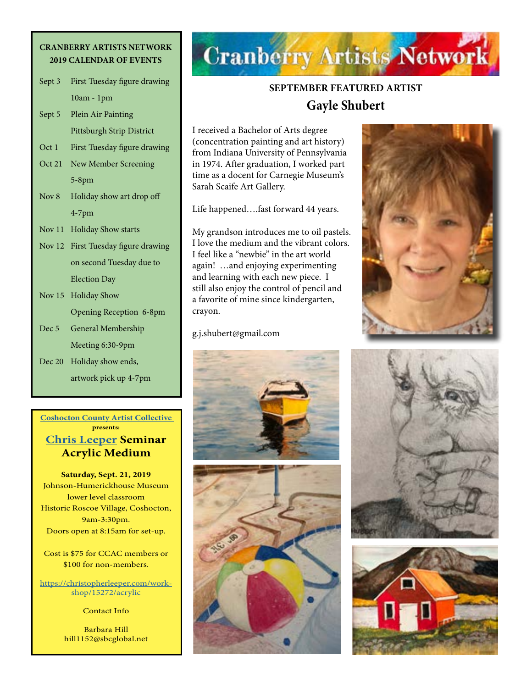#### **CRANBERRY ARTISTS NETWORK 2019 CALENDAR OF EVENTS**

- Sept 3 First Tuesday figure drawing 10am - 1pm Sept 5 Plein Air Painting Pittsburgh Strip District Oct 1 First Tuesday figure drawing Oct 21 New Member Screening 5-8pm Nov 8 Holiday show art drop off 4-7pm Nov 11 Holiday Show starts Nov 12 First Tuesday figure drawing on second Tuesday due to Election Day Nov 15 Holiday Show Opening Reception 6-8pm Dec 5 General Membership Meeting 6:30-9pm
- Dec 20 Holiday show ends, artwork pick up 4-7pm

#### **[Coshocton County Artist Collective](http://www.ccacart.org/) presents:**

### **[Chris Leeper](https://christopherleeper.com) Seminar Acrylic Medium**

**Saturday, Sept. 21, 2019** Johnson-Humerickhouse Museum lower level classroom Historic Roscoe Village, Coshocton, 9am-3:30pm. Doors open at 8:15am for set-up.

Cost is \$75 for CCAC members or \$100 for non-members.

[https://christopherleeper.com/work](https://christopherleeper.com/workshop/15272/acrylic)[shop/15272/acrylic](https://christopherleeper.com/workshop/15272/acrylic)

Contact Info

Barbara Hill hill1152@sbcglobal.net

## **Cranberry Artists Network**

## **SEPTEMBER FEATURED ARTIST Gayle Shubert**

I received a Bachelor of Arts degree (concentration painting and art history) from Indiana University of Pennsylvania in 1974. After graduation, I worked part time as a docent for Carnegie Museum's Sarah Scaife Art Gallery.

Life happened….fast forward 44 years.

My grandson introduces me to oil pastels. I love the medium and the vibrant colors. I feel like a "newbie" in the art world again! …and enjoying experimenting and learning with each new piece. I still also enjoy the control of pencil and a favorite of mine since kindergarten, crayon.

g.j.shubert@gmail.com







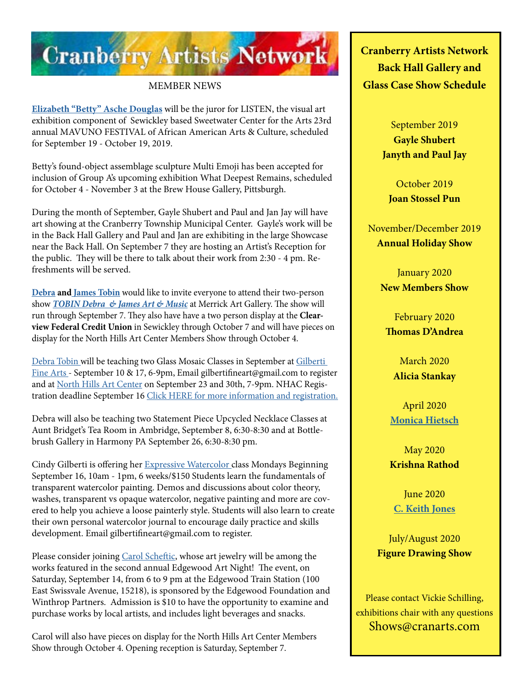

#### MEMBER NEWS

**[Elizabeth "Betty" Asche Douglas](http://douglasartgallery.com/)** will be the juror for LISTEN, the visual art exhibition component of Sewickley based Sweetwater Center for the Arts 23rd annual MAVUNO FESTIVAL of African American Arts & Culture, scheduled for September 19 - October 19, 2019.

Betty's found-object assemblage sculpture Multi Emoji has been accepted for inclusion of Group A's upcoming exhibition What Deepest Remains, scheduled for October 4 - November 3 at the Brew House Gallery, Pittsburgh.

During the month of September, Gayle Shubert and Paul and Jan Jay will have art showing at the Cranberry Township Municipal Center. Gayle's work will be in the Back Hall Gallery and Paul and Jan are exhibiting in the large Showcase near the Back Hall. On September 7 they are hosting an Artist's Reception for the public. They will be there to talk about their work from 2:30 - 4 pm. Refreshments will be served.

**[Debra](http://www.debratobinart.com) an[d James Tobin](https://jamestobinart.com/)** would like to invite everyone to attend their two-person show *[TOBIN Debra & James Art & Music](http://merrickartgallery.org/exhibits)* at Merrick Art Gallery. The show will run through September 7. They also have have a two person display at the **Clearview Federal Credit Union** in Sewickley through October 7 and will have pieces on display for the North Hills Art Center Members Show through October 4.

[Debra Tobin](http://www.debratobinart.com) will be teaching two Glass Mosaic Classes in September at [Gilberti](http://gilbertifineart.com/)  [Fine Arts -](http://gilbertifineart.com/) September 10 & 17, 6-9pm, Email gilbertifineart@gmail.com to register and at [North Hills Art Center](https://northhillsartcenter.org/) on September 23 and 30th, 7-9pm. NHAC Regis-tration deadline September 16 [Click HERE for more information and registration.](https://northhillsartcenter.org/event-3512837)

Debra will also be teaching two Statement Piece Upcycled Necklace Classes at Aunt Bridget's Tea Room in Ambridge, September 8, 6:30-8:30 and at Bottlebrush Gallery in Harmony PA September 26, 6:30-8:30 pm.

Cindy Gilberti is offering her [Expressive Watercolor](http://gilbertifineart.com/) class Mondays Beginning September 16, 10am - 1pm, 6 weeks/\$150 Students learn the fundamentals of transparent watercolor painting. Demos and discussions about color theory, washes, transparent vs opaque watercolor, negative painting and more are covered to help you achieve a loose painterly style. Students will also learn to create their own personal watercolor journal to encourage daily practice and skills development. Email gilbertifineart@gmail.com to register.

Please consider joining [Carol Scheftic,](http://convergentseries.com/) whose art jewelry will be among the works featured in the second annual Edgewood Art Night! The event, on Saturday, September 14, from 6 to 9 pm at the Edgewood Train Station (100 East Swissvale Avenue, 15218), is sponsored by the Edgewood Foundation and Winthrop Partners. Admission is \$10 to have the opportunity to examine and purchase works by local artists, and includes light beverages and snacks.

Carol will also have pieces on display for the North Hills Art Center Members Show through October 4. Opening reception is Saturday, September 7.

**Cranberry Artists Network Back Hall Gallery and Glass Case Show Schedule** 

> September 2019 **Gayle Shubert Janyth and Paul Jay**

October 2019 **Joan Stossel Pun**

November/December 2019 **Annual Holiday Show**

> January 2020 **New Members Show**

February 2020 **Thomas D'Andrea**

March 2020 **Alicia Stankay**

April 2020 **[Monica Hietsch](https://www.monicahietsch.com/)**

May 2020 **Krishna Rathod**

June 2020 **[C. Keith Jones](http://ckeithjonesartist.com/)**

July/August 2020 **Figure Drawing Show**

Please contact Vickie Schilling, exhibitions chair with any questions Shows@cranarts.com